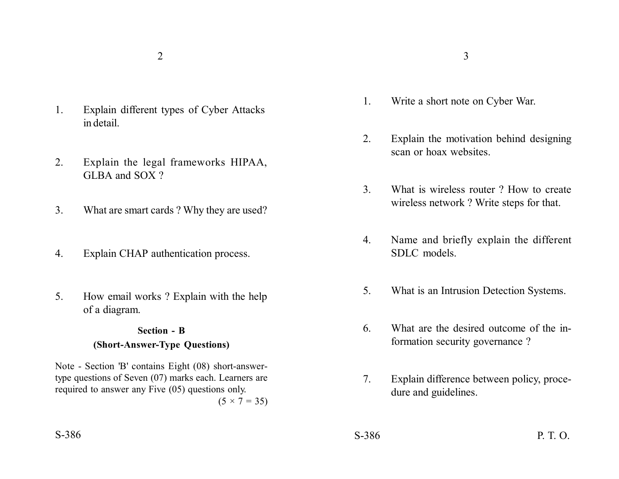- 1. Explain different types of Cyber Attacks in detail.
- 2. Explain the legal frameworks HIPAA, GLBA and SOX ?
- 3. What are smart cards ? Why they are used?
- 4. Explain CHAP authentication process.
- 5. How email works ? Explain with the help of a diagram.

### **Section - B**

### **(Short-Answer-Type Questions)**

Note - Section 'B' contains Eight (08) short-answertype questions of Seven (07) marks each. Learners are required to answer any Five (05) questions only.

 $(5 \times 7 = 35)$ 

- $2\overline{3}$ 
	- 1. Write a short note on Cyber War.
	- 2. Explain the motivation behind designing scan or hoax websites.
	- 3. What is wireless router ? How to create wireless network ? Write steps for that.
	- 4. Name and briefly explain the different SDLC models.
	- 5. What is an Intrusion Detection Systems.
	- 6. What are the desired outcome of the information security governance ?
	- 7. Explain difference between policy, procedure and guidelines.